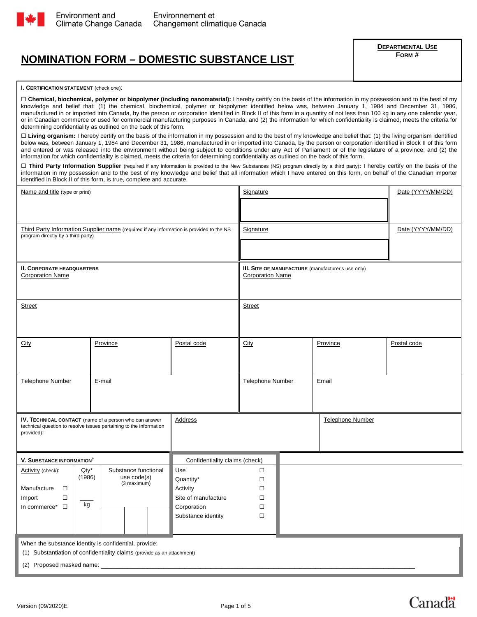

# **NOMINATION FORM – DOMESTIC SUBSTANCE LIST**

**DEPARTMENTAL USE FORM #** 

#### **I. CERTIFICATION STATEMENT** (check one):

□ Chemical, biochemical, polymer or biopolymer (including nanomaterial): I hereby certify on the basis of the information in my possession and to the best of my knowledge and belief that: (1) the chemical, biochemical, polymer or biopolymer identified below was, between January 1, 1984 and December 31, 1986, manufactured in or imported into Canada, by the person or corporation identified in Block II of this form in a quantity of not less than 100 kg in any one calendar year, or in Canadian commerce or used for commercial manufacturing purposes in Canada; and (2) the information for which confidentiality is claimed, meets the criteria for determining confidentiality as outlined on the back of this form.

□ Living organism: I hereby certify on the basis of the information in my possession and to the best of my knowledge and belief that: (1) the living organism identified below was, between January 1, 1984 and December 31, 1986, manufactured in or imported into Canada, by the person or corporation identified in Block II of this form and entered or was released into the environment without being subject to conditions under any Act of Parliament or of the legislature of a province; and (2) the information for which confidentiality is claimed, meets the criteria for determining confidentiality as outlined on the back of this form.

 **Third Party Information Supplier** (required if any information is provided to the New Substances (NS) program directly by a third party)**:** I hereby certify on the basis of the information in my possession and to the best of my knowledge and belief that all information which I have entered on this form, on behalf of the Canadian importer identified in Block II of this form, is true, complete and accurate.

| Name and title (type or print)                                          |        |                                                                                          | Signature                      |                  |                                                    | Date (YYYY/MM/DD)       |             |
|-------------------------------------------------------------------------|--------|------------------------------------------------------------------------------------------|--------------------------------|------------------|----------------------------------------------------|-------------------------|-------------|
|                                                                         |        |                                                                                          |                                |                  |                                                    |                         |             |
|                                                                         |        |                                                                                          |                                |                  |                                                    |                         |             |
|                                                                         |        | Third Party Information Supplier name (required if any information is provided to the NS |                                | Signature        |                                                    | Date (YYYY/MM/DD)       |             |
| program directly by a third party)                                      |        |                                                                                          |                                |                  |                                                    |                         |             |
|                                                                         |        |                                                                                          |                                |                  |                                                    |                         |             |
| <b>II. CORPORATE HEADQUARTERS</b><br><b>Corporation Name</b>            |        |                                                                                          | <b>Corporation Name</b>        |                  | III. SITE OF MANUFACTURE (manufacturer's use only) |                         |             |
|                                                                         |        |                                                                                          |                                |                  |                                                    |                         |             |
| <b>Street</b>                                                           |        |                                                                                          |                                | <b>Street</b>    |                                                    |                         |             |
|                                                                         |        |                                                                                          |                                |                  |                                                    |                         |             |
| City                                                                    |        | Province                                                                                 | Postal code                    | City             |                                                    | Province                | Postal code |
|                                                                         |        |                                                                                          |                                |                  |                                                    |                         |             |
|                                                                         |        |                                                                                          |                                |                  |                                                    |                         |             |
| <b>Telephone Number</b><br>E-mail                                       |        |                                                                                          | Telephone Number<br>Email      |                  |                                                    |                         |             |
|                                                                         |        |                                                                                          |                                |                  |                                                    |                         |             |
|                                                                         |        |                                                                                          |                                |                  |                                                    |                         |             |
| IV. TECHNICAL CONTACT (name of a person who can answer                  |        |                                                                                          | Address                        |                  |                                                    | <b>Telephone Number</b> |             |
| provided):                                                              |        | technical question to resolve issues pertaining to the information                       |                                |                  |                                                    |                         |             |
|                                                                         |        |                                                                                          |                                |                  |                                                    |                         |             |
| <b>V. SUBSTANCE INFORMATION<sup>†</sup></b>                             |        |                                                                                          | Confidentiality claims (check) |                  |                                                    |                         |             |
| Activity (check):                                                       | Qty*   | Substance functional                                                                     | Use                            | $\Box$           |                                                    |                         |             |
|                                                                         | (1986) | use code(s)<br>(3 maximum)                                                               | Quantity*                      | $\Box$           |                                                    |                         |             |
| Manufacture<br>$\Box$                                                   |        |                                                                                          | Activity                       | □                |                                                    |                         |             |
| Import<br>$\Box$                                                        | kg     |                                                                                          | Site of manufacture            | □                |                                                    |                         |             |
| In commerce* $\Box$                                                     |        |                                                                                          | Corporation                    | $\Box$<br>$\Box$ |                                                    |                         |             |
|                                                                         |        |                                                                                          | Substance identity             |                  |                                                    |                         |             |
|                                                                         |        |                                                                                          |                                |                  |                                                    |                         |             |
| When the substance identity is confidential, provide:                   |        |                                                                                          |                                |                  |                                                    |                         |             |
| (1) Substantiation of confidentiality claims (provide as an attachment) |        |                                                                                          |                                |                  |                                                    |                         |             |
| (2) Proposed masked name:                                               |        |                                                                                          |                                |                  |                                                    |                         |             |

Canadä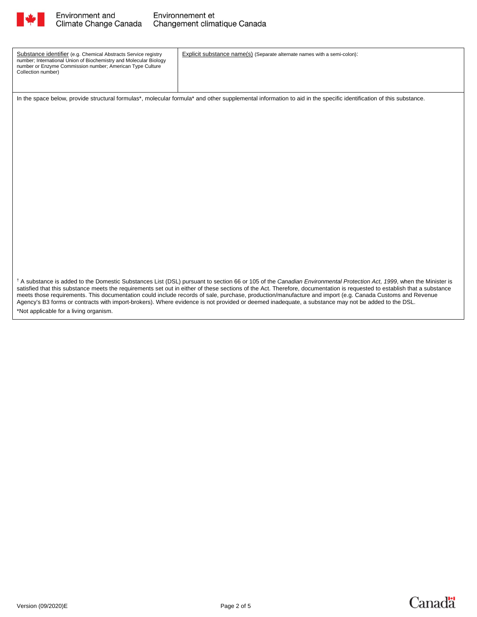

| Substance identifier (e.g. Chemical Abstracts Service registry<br>number; International Union of Biochemistry and Molecular Biology<br>number or Enzyme Commission number; American Type Culture<br>Collection number)                                                                                                                                                                                                                                                                                                                                                                                                                                                       | Explicit substance name(s) (Separate alternate names with a semi-colon): |  |  |
|------------------------------------------------------------------------------------------------------------------------------------------------------------------------------------------------------------------------------------------------------------------------------------------------------------------------------------------------------------------------------------------------------------------------------------------------------------------------------------------------------------------------------------------------------------------------------------------------------------------------------------------------------------------------------|--------------------------------------------------------------------------|--|--|
|                                                                                                                                                                                                                                                                                                                                                                                                                                                                                                                                                                                                                                                                              |                                                                          |  |  |
| In the space below, provide structural formulas*, molecular formula* and other supplemental information to aid in the specific identification of this substance.                                                                                                                                                                                                                                                                                                                                                                                                                                                                                                             |                                                                          |  |  |
|                                                                                                                                                                                                                                                                                                                                                                                                                                                                                                                                                                                                                                                                              |                                                                          |  |  |
|                                                                                                                                                                                                                                                                                                                                                                                                                                                                                                                                                                                                                                                                              |                                                                          |  |  |
|                                                                                                                                                                                                                                                                                                                                                                                                                                                                                                                                                                                                                                                                              |                                                                          |  |  |
|                                                                                                                                                                                                                                                                                                                                                                                                                                                                                                                                                                                                                                                                              |                                                                          |  |  |
|                                                                                                                                                                                                                                                                                                                                                                                                                                                                                                                                                                                                                                                                              |                                                                          |  |  |
|                                                                                                                                                                                                                                                                                                                                                                                                                                                                                                                                                                                                                                                                              |                                                                          |  |  |
|                                                                                                                                                                                                                                                                                                                                                                                                                                                                                                                                                                                                                                                                              |                                                                          |  |  |
|                                                                                                                                                                                                                                                                                                                                                                                                                                                                                                                                                                                                                                                                              |                                                                          |  |  |
|                                                                                                                                                                                                                                                                                                                                                                                                                                                                                                                                                                                                                                                                              |                                                                          |  |  |
|                                                                                                                                                                                                                                                                                                                                                                                                                                                                                                                                                                                                                                                                              |                                                                          |  |  |
|                                                                                                                                                                                                                                                                                                                                                                                                                                                                                                                                                                                                                                                                              |                                                                          |  |  |
|                                                                                                                                                                                                                                                                                                                                                                                                                                                                                                                                                                                                                                                                              |                                                                          |  |  |
|                                                                                                                                                                                                                                                                                                                                                                                                                                                                                                                                                                                                                                                                              |                                                                          |  |  |
|                                                                                                                                                                                                                                                                                                                                                                                                                                                                                                                                                                                                                                                                              |                                                                          |  |  |
|                                                                                                                                                                                                                                                                                                                                                                                                                                                                                                                                                                                                                                                                              |                                                                          |  |  |
|                                                                                                                                                                                                                                                                                                                                                                                                                                                                                                                                                                                                                                                                              |                                                                          |  |  |
|                                                                                                                                                                                                                                                                                                                                                                                                                                                                                                                                                                                                                                                                              |                                                                          |  |  |
| <sup>†</sup> A substance is added to the Domestic Substances List (DSL) pursuant to section 66 or 105 of the Canadian Environmental Protection Act, 1999, when the Minister is<br>satisfied that this substance meets the requirements set out in either of these sections of the Act. Therefore, documentation is requested to establish that a substance<br>meets those requirements. This documentation could include records of sale, purchase, production/manufacture and import (e.g. Canada Customs and Revenue<br>Agency's B3 forms or contracts with import-brokers). Where evidence is not provided or deemed inadequate, a substance may not be added to the DSL. |                                                                          |  |  |
| *Not applicable for a living organism.                                                                                                                                                                                                                                                                                                                                                                                                                                                                                                                                                                                                                                       |                                                                          |  |  |

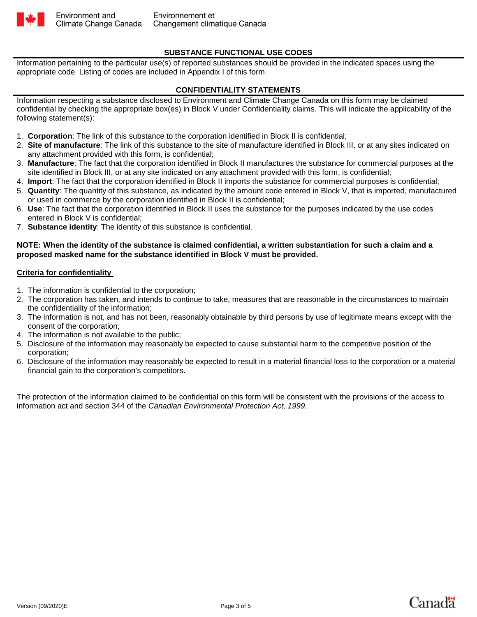

# **SUBSTANCE FUNCTIONAL USE CODES**

Information pertaining to the particular use(s) of reported substances should be provided in the indicated spaces using the appropriate code. Listing of codes are included in Appendix I of this form.

### **CONFIDENTIALITY STATEMENTS**

Information respecting a substance disclosed to Environment and Climate Change Canada on this form may be claimed confidential by checking the appropriate box(es) in Block V under Confidentiality claims. This will indicate the applicability of the following statement(s):

- 1. **Corporation**: The link of this substance to the corporation identified in Block II is confidential;
- 2. **Site of manufacture**: The link of this substance to the site of manufacture identified in Block III, or at any sites indicated on any attachment provided with this form, is confidential;
- 3. **Manufacture**: The fact that the corporation identified in Block II manufactures the substance for commercial purposes at the site identified in Block III, or at any site indicated on any attachment provided with this form, is confidential;
- 4. **Import**: The fact that the corporation identified in Block II imports the substance for commercial purposes is confidential;
- 5. **Quantity**: The quantity of this substance, as indicated by the amount code entered in Block V, that is imported, manufactured or used in commerce by the corporation identified in Block II is confidential;
- 6. **Use**: The fact that the corporation identified in Block II uses the substance for the purposes indicated by the use codes entered in Block V is confidential;
- 7. **Substance identity**: The identity of this substance is confidential.

#### **NOTE: When the identity of the substance is claimed confidential, a written substantiation for such a claim and a proposed masked name for the substance identified in Block V must be provided.**

#### **Criteria for confidentiality**

- 1. The information is confidential to the corporation;
- 2. The corporation has taken, and intends to continue to take, measures that are reasonable in the circumstances to maintain the confidentiality of the information;
- 3. The information is not, and has not been, reasonably obtainable by third persons by use of legitimate means except with the consent of the corporation;
- 4. The information is not available to the public;
- 5. Disclosure of the information may reasonably be expected to cause substantial harm to the competitive position of the corporation;
- 6. Disclosure of the information may reasonably be expected to result in a material financial loss to the corporation or a material financial gain to the corporation's competitors.

The protection of the information claimed to be confidential on this form will be consistent with the provisions of the access to information act and section 344 of the *Canadian Environmental Protection Act, 1999.* 



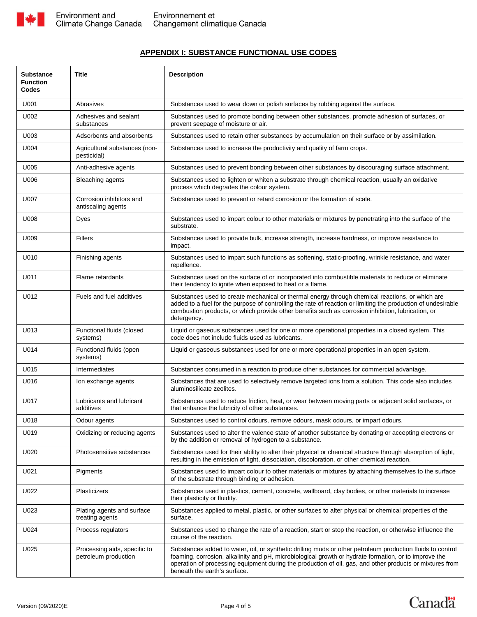

## **APPENDIX I: SUBSTANCE FUNCTIONAL USE CODES**

| <b>Substance</b><br><b>Function</b><br>Codes | <b>Title</b>                                         | <b>Description</b>                                                                                                                                                                                                                                                                                                                                              |  |  |
|----------------------------------------------|------------------------------------------------------|-----------------------------------------------------------------------------------------------------------------------------------------------------------------------------------------------------------------------------------------------------------------------------------------------------------------------------------------------------------------|--|--|
| U001                                         | Abrasives                                            | Substances used to wear down or polish surfaces by rubbing against the surface.                                                                                                                                                                                                                                                                                 |  |  |
| U002                                         | Adhesives and sealant<br>substances                  | Substances used to promote bonding between other substances, promote adhesion of surfaces, or<br>prevent seepage of moisture or air.                                                                                                                                                                                                                            |  |  |
| U003                                         | Adsorbents and absorbents                            | Substances used to retain other substances by accumulation on their surface or by assimilation.                                                                                                                                                                                                                                                                 |  |  |
| U004                                         | Agricultural substances (non-<br>pesticidal)         | Substances used to increase the productivity and quality of farm crops.                                                                                                                                                                                                                                                                                         |  |  |
| U005                                         | Anti-adhesive agents                                 | Substances used to prevent bonding between other substances by discouraging surface attachment.                                                                                                                                                                                                                                                                 |  |  |
| U006                                         | Bleaching agents                                     | Substances used to lighten or whiten a substrate through chemical reaction, usually an oxidative<br>process which degrades the colour system.                                                                                                                                                                                                                   |  |  |
| U007                                         | Corrosion inhibitors and<br>antiscaling agents       | Substances used to prevent or retard corrosion or the formation of scale.                                                                                                                                                                                                                                                                                       |  |  |
| U008                                         | Dyes                                                 | Substances used to impart colour to other materials or mixtures by penetrating into the surface of the<br>substrate.                                                                                                                                                                                                                                            |  |  |
| U009                                         | <b>Fillers</b>                                       | Substances used to provide bulk, increase strength, increase hardness, or improve resistance to<br>impact.                                                                                                                                                                                                                                                      |  |  |
| U010                                         | Finishing agents                                     | Substances used to impart such functions as softening, static-proofing, wrinkle resistance, and water<br>repellence.                                                                                                                                                                                                                                            |  |  |
| U011                                         | Flame retardants                                     | Substances used on the surface of or incorporated into combustible materials to reduce or eliminate<br>their tendency to ignite when exposed to heat or a flame.                                                                                                                                                                                                |  |  |
| U012                                         | Fuels and fuel additives                             | Substances used to create mechanical or thermal energy through chemical reactions, or which are<br>added to a fuel for the purpose of controlling the rate of reaction or limiting the production of undesirable<br>combustion products, or which provide other benefits such as corrosion inhibition, lubrication, or<br>detergency.                           |  |  |
| U013                                         | Functional fluids (closed<br>systems)                | Liquid or gaseous substances used for one or more operational properties in a closed system. This<br>code does not include fluids used as lubricants.                                                                                                                                                                                                           |  |  |
| U014                                         | Functional fluids (open<br>systems)                  | Liquid or gaseous substances used for one or more operational properties in an open system.                                                                                                                                                                                                                                                                     |  |  |
| U015                                         | Intermediates                                        | Substances consumed in a reaction to produce other substances for commercial advantage.                                                                                                                                                                                                                                                                         |  |  |
| U016                                         | Ion exchange agents                                  | Substances that are used to selectively remove targeted ions from a solution. This code also includes<br>aluminosilicate zeolites.                                                                                                                                                                                                                              |  |  |
| U017                                         | Lubricants and lubricant<br>additives                | Substances used to reduce friction, heat, or wear between moving parts or adjacent solid surfaces, or<br>that enhance the lubricity of other substances.                                                                                                                                                                                                        |  |  |
| U018                                         | Odour agents                                         | Substances used to control odours, remove odours, mask odours, or impart odours.                                                                                                                                                                                                                                                                                |  |  |
| U019                                         | Oxidizing or reducing agents                         | Substances used to alter the valence state of another substance by donating or accepting electrons or<br>by the addition or removal of hydrogen to a substance.                                                                                                                                                                                                 |  |  |
| U020                                         | Photosensitive substances                            | Substances used for their ability to alter their physical or chemical structure through absorption of light,<br>resulting in the emission of light, dissociation, discoloration, or other chemical reaction.                                                                                                                                                    |  |  |
| U021                                         | Pigments                                             | Substances used to impart colour to other materials or mixtures by attaching themselves to the surface<br>of the substrate through binding or adhesion.                                                                                                                                                                                                         |  |  |
| U022                                         | Plasticizers                                         | Substances used in plastics, cement, concrete, wallboard, clay bodies, or other materials to increase<br>their plasticity or fluidity.                                                                                                                                                                                                                          |  |  |
| U023                                         | Plating agents and surface<br>treating agents        | Substances applied to metal, plastic, or other surfaces to alter physical or chemical properties of the<br>surface.                                                                                                                                                                                                                                             |  |  |
| U024                                         | Process regulators                                   | Substances used to change the rate of a reaction, start or stop the reaction, or otherwise influence the<br>course of the reaction.                                                                                                                                                                                                                             |  |  |
| U025                                         | Processing aids, specific to<br>petroleum production | Substances added to water, oil, or synthetic drilling muds or other petroleum production fluids to control<br>foaming, corrosion, alkalinity and pH, microbiological growth or hydrate formation, or to improve the<br>operation of processing equipment during the production of oil, gas, and other products or mixtures from<br>beneath the earth's surface. |  |  |

**Canada**